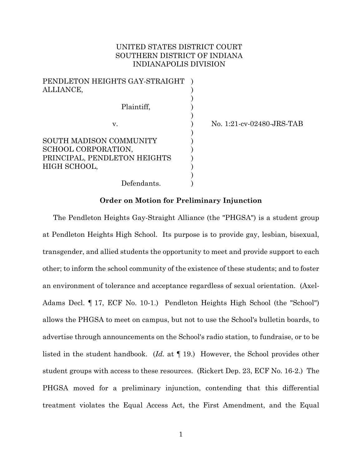## UNITED STATES DISTRICT COURT SOUTHERN DISTRICT OF INDIANA INDIANAPOLIS DIVISION

| PENDLETON HEIGHTS GAY-STRAIGHT |  |
|--------------------------------|--|
| ALLIANCE,                      |  |
| Plaintiff,                     |  |
| v.                             |  |
| SOUTH MADISON COMMUNITY        |  |
| SCHOOL CORPORATION,            |  |
| PRINCIPAL, PENDLETON HEIGHTS   |  |
| HIGH SCHOOL,                   |  |
|                                |  |
| Defendants.                    |  |

v. ) No. 1:21-cv-02480-JRS-TAB

#### **Order on Motion for Preliminary Injunction**

The Pendleton Heights Gay-Straight Alliance (the "PHGSA") is a student group at Pendleton Heights High School. Its purpose is to provide gay, lesbian, bisexual, transgender, and allied students the opportunity to meet and provide support to each other; to inform the school community of the existence of these students; and to foster an environment of tolerance and acceptance regardless of sexual orientation. (Axel-Adams Decl. ¶ 17, ECF No. 10-1.) Pendleton Heights High School (the "School") allows the PHGSA to meet on campus, but not to use the School's bulletin boards, to advertise through announcements on the School's radio station, to fundraise, or to be listed in the student handbook. (*Id.* at ¶ 19.) However, the School provides other student groups with access to these resources. (Rickert Dep. 23, ECF No. 16-2.) The PHGSA moved for a preliminary injunction, contending that this differential treatment violates the Equal Access Act, the First Amendment, and the Equal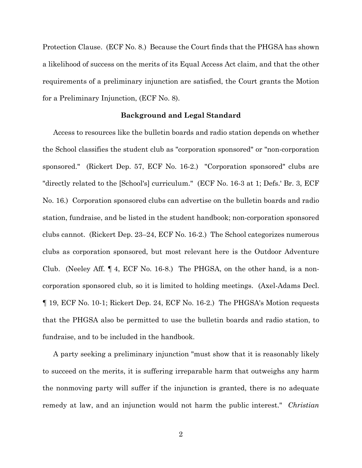Protection Clause. (ECF No. 8.) Because the Court finds that the PHGSA has shown a likelihood of success on the merits of its Equal Access Act claim, and that the other requirements of a preliminary injunction are satisfied, the Court grants the Motion for a Preliminary Injunction, (ECF No. 8).

#### **Background and Legal Standard**

Access to resources like the bulletin boards and radio station depends on whether the School classifies the student club as "corporation sponsored" or "non-corporation sponsored." (Rickert Dep. 57, ECF No. 16-2.) "Corporation sponsored" clubs are "directly related to the [School's] curriculum." (ECF No. 16-3 at 1; Defs.' Br. 3, ECF No. 16.) Corporation sponsored clubs can advertise on the bulletin boards and radio station, fundraise, and be listed in the student handbook; non-corporation sponsored clubs cannot. (Rickert Dep. 23–24, ECF No. 16-2.) The School categorizes numerous clubs as corporation sponsored, but most relevant here is the Outdoor Adventure Club. (Neeley Aff. ¶ 4, ECF No. 16-8.) The PHGSA, on the other hand, is a noncorporation sponsored club, so it is limited to holding meetings. (Axel-Adams Decl. ¶ 19, ECF No. 10-1; Rickert Dep. 24, ECF No. 16-2.) The PHGSA's Motion requests that the PHGSA also be permitted to use the bulletin boards and radio station, to fundraise, and to be included in the handbook.

A party seeking a preliminary injunction "must show that it is reasonably likely to succeed on the merits, it is suffering irreparable harm that outweighs any harm the nonmoving party will suffer if the injunction is granted, there is no adequate remedy at law, and an injunction would not harm the public interest." *Christian*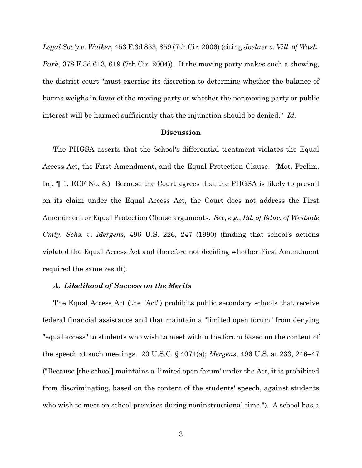*Legal Soc'y v. Walker*, 453 F.3d 853, 859 (7th Cir. 2006) (citing *Joelner v. Vill. of Wash. Park*, 378 F.3d 613, 619 (7th Cir. 2004)). If the moving party makes such a showing, the district court "must exercise its discretion to determine whether the balance of harms weighs in favor of the moving party or whether the nonmoving party or public interest will be harmed sufficiently that the injunction should be denied." *Id.*

#### **Discussion**

The PHGSA asserts that the School's differential treatment violates the Equal Access Act, the First Amendment, and the Equal Protection Clause. (Mot. Prelim. Inj. ¶ 1, ECF No. 8.) Because the Court agrees that the PHGSA is likely to prevail on its claim under the Equal Access Act, the Court does not address the First Amendment or Equal Protection Clause arguments. *See, e.g.*, *Bd. of Educ. of Westside Cmty. Schs. v. Mergens*, 496 U.S. 226, 247 (1990) (finding that school's actions violated the Equal Access Act and therefore not deciding whether First Amendment required the same result).

### *A. Likelihood of Success on the Merits*

The Equal Access Act (the "Act") prohibits public secondary schools that receive federal financial assistance and that maintain a "limited open forum" from denying "equal access" to students who wish to meet within the forum based on the content of the speech at such meetings. 20 U.S.C. § 4071(a); *Mergens*, 496 U.S. at 233, 246–47 ("Because [the school] maintains a 'limited open forum' under the Act, it is prohibited from discriminating, based on the content of the students' speech, against students who wish to meet on school premises during noninstructional time."). A school has a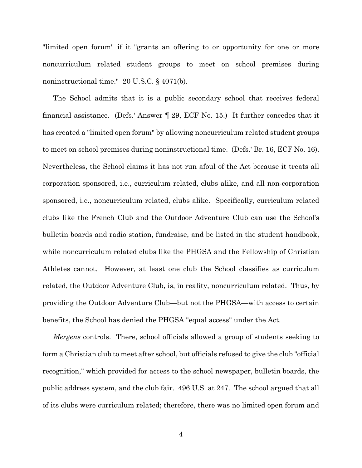"limited open forum" if it "grants an offering to or opportunity for one or more noncurriculum related student groups to meet on school premises during noninstructional time." 20 U.S.C. § 4071(b).

The School admits that it is a public secondary school that receives federal financial assistance. (Defs.' Answer ¶ 29, ECF No. 15.) It further concedes that it has created a "limited open forum" by allowing noncurriculum related student groups to meet on school premises during noninstructional time. (Defs.' Br. 16, ECF No. 16). Nevertheless, the School claims it has not run afoul of the Act because it treats all corporation sponsored, i.e., curriculum related, clubs alike, and all non-corporation sponsored, i.e., noncurriculum related, clubs alike. Specifically, curriculum related clubs like the French Club and the Outdoor Adventure Club can use the School's bulletin boards and radio station, fundraise, and be listed in the student handbook, while noncurriculum related clubs like the PHGSA and the Fellowship of Christian Athletes cannot. However, at least one club the School classifies as curriculum related, the Outdoor Adventure Club, is, in reality, noncurriculum related. Thus, by providing the Outdoor Adventure Club—but not the PHGSA—with access to certain benefits, the School has denied the PHGSA "equal access" under the Act.

*Mergens* controls. There, school officials allowed a group of students seeking to form a Christian club to meet after school, but officials refused to give the club "official recognition," which provided for access to the school newspaper, bulletin boards, the public address system, and the club fair. 496 U.S. at 247. The school argued that all of its clubs were curriculum related; therefore, there was no limited open forum and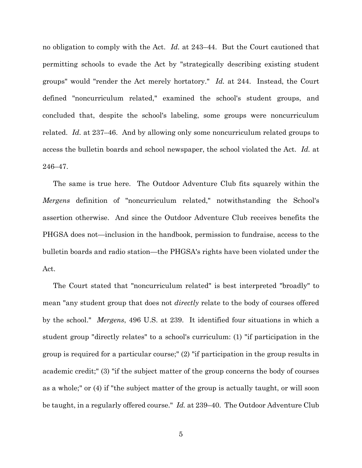no obligation to comply with the Act. *Id.* at 243–44. But the Court cautioned that permitting schools to evade the Act by "strategically describing existing student groups" would "render the Act merely hortatory." *Id.* at 244. Instead, the Court defined "noncurriculum related," examined the school's student groups, and concluded that, despite the school's labeling, some groups were noncurriculum related. *Id.* at 237–46. And by allowing only some noncurriculum related groups to access the bulletin boards and school newspaper, the school violated the Act. *Id.* at 246–47.

The same is true here. The Outdoor Adventure Club fits squarely within the *Mergens* definition of "noncurriculum related," notwithstanding the School's assertion otherwise. And since the Outdoor Adventure Club receives benefits the PHGSA does not—inclusion in the handbook, permission to fundraise, access to the bulletin boards and radio station—the PHGSA's rights have been violated under the Act.

The Court stated that "noncurriculum related" is best interpreted "broadly" to mean "any student group that does not *directly* relate to the body of courses offered by the school." *Mergens*, 496 U.S. at 239. It identified four situations in which a student group "directly relates" to a school's curriculum: (1) "if participation in the group is required for a particular course;" (2) "if participation in the group results in academic credit;" (3) "if the subject matter of the group concerns the body of courses as a whole;" or (4) if "the subject matter of the group is actually taught, or will soon be taught, in a regularly offered course." *Id.* at 239–40. The Outdoor Adventure Club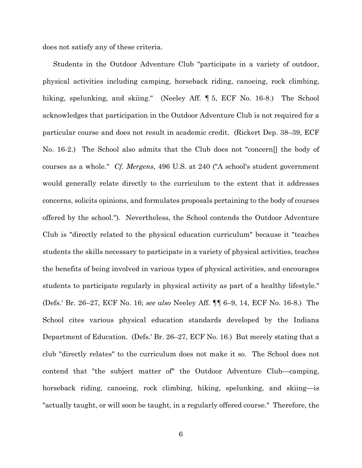does not satisfy any of these criteria.

Students in the Outdoor Adventure Club "participate in a variety of outdoor, physical activities including camping, horseback riding, canoeing, rock climbing, hiking, spelunking, and skiing." (Neeley Aff. 15, ECF No. 16-8.) The School acknowledges that participation in the Outdoor Adventure Club is not required for a particular course and does not result in academic credit. (Rickert Dep. 38–39, ECF No. 16-2.) The School also admits that the Club does not "concern[] the body of courses as a whole." *Cf. Mergens*, 496 U.S. at 240 ("A school's student government would generally relate directly to the curriculum to the extent that it addresses concerns, solicits opinions, and formulates proposals pertaining to the body of courses offered by the school."). Nevertheless, the School contends the Outdoor Adventure Club is "directly related to the physical education curriculum" because it "teaches students the skills necessary to participate in a variety of physical activities, teaches the benefits of being involved in various types of physical activities, and encourages students to participate regularly in physical activity as part of a healthy lifestyle." (Defs.' Br. 26–27, ECF No. 16; *see also* Neeley Aff. ¶¶ 6–9, 14, ECF No. 16-8.) The School cites various physical education standards developed by the Indiana Department of Education. (Defs.' Br. 26–27, ECF No. 16.) But merely stating that a club "directly relates" to the curriculum does not make it so. The School does not contend that "the subject matter of" the Outdoor Adventure Club—camping, horseback riding, canoeing, rock climbing, hiking, spelunking, and skiing—is "actually taught, or will soon be taught, in a regularly offered course." Therefore, the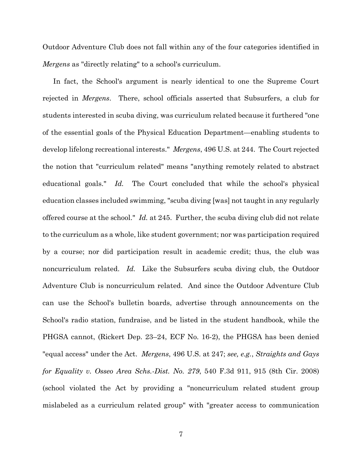Outdoor Adventure Club does not fall within any of the four categories identified in *Mergens* as "directly relating" to a school's curriculum.

In fact, the School's argument is nearly identical to one the Supreme Court rejected in *Mergens*. There, school officials asserted that Subsurfers, a club for students interested in scuba diving, was curriculum related because it furthered "one of the essential goals of the Physical Education Department—enabling students to develop lifelong recreational interests." *Mergens*, 496 U.S. at 244. The Court rejected the notion that "curriculum related" means "anything remotely related to abstract educational goals." *Id.* The Court concluded that while the school's physical education classes included swimming, "scuba diving [was] not taught in any regularly offered course at the school." *Id.* at 245. Further, the scuba diving club did not relate to the curriculum as a whole, like student government; nor was participation required by a course; nor did participation result in academic credit; thus, the club was noncurriculum related. *Id.* Like the Subsurfers scuba diving club, the Outdoor Adventure Club is noncurriculum related. And since the Outdoor Adventure Club can use the School's bulletin boards, advertise through announcements on the School's radio station, fundraise, and be listed in the student handbook, while the PHGSA cannot, (Rickert Dep. 23–24, ECF No. 16-2), the PHGSA has been denied "equal access" under the Act. *Mergens*, 496 U.S. at 247; *see, e.g.*, *Straights and Gays for Equality v. Osseo Area Schs.-Dist. No. 279*, 540 F.3d 911, 915 (8th Cir. 2008) (school violated the Act by providing a "noncurriculum related student group mislabeled as a curriculum related group" with "greater access to communication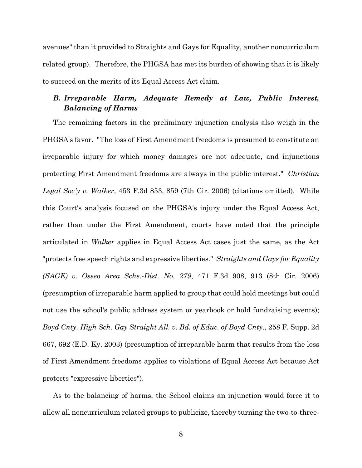avenues" than it provided to Straights and Gays for Equality, another noncurriculum related group). Therefore, the PHGSA has met its burden of showing that it is likely to succeed on the merits of its Equal Access Act claim.

# *B. Irreparable Harm, Adequate Remedy at Law, Public Interest, Balancing of Harms*

The remaining factors in the preliminary injunction analysis also weigh in the PHGSA's favor. "The loss of First Amendment freedoms is presumed to constitute an irreparable injury for which money damages are not adequate, and injunctions protecting First Amendment freedoms are always in the public interest." *Christian Legal Soc'y v. Walker*, 453 F.3d 853, 859 (7th Cir. 2006) (citations omitted). While this Court's analysis focused on the PHGSA's injury under the Equal Access Act, rather than under the First Amendment, courts have noted that the principle articulated in *Walker* applies in Equal Access Act cases just the same, as the Act "protects free speech rights and expressive liberties." *Straights and Gays for Equality (SAGE) v. Osseo Area Schs.-Dist. No. 279*, 471 F.3d 908, 913 (8th Cir. 2006) (presumption of irreparable harm applied to group that could hold meetings but could not use the school's public address system or yearbook or hold fundraising events); *Boyd Cnty. High Sch. Gay Straight All. v. Bd. of Educ. of Boyd Cnty.*, 258 F. Supp. 2d 667, 692 (E.D. Ky. 2003) (presumption of irreparable harm that results from the loss of First Amendment freedoms applies to violations of Equal Access Act because Act protects "expressive liberties").

As to the balancing of harms, the School claims an injunction would force it to allow all noncurriculum related groups to publicize, thereby turning the two-to-three-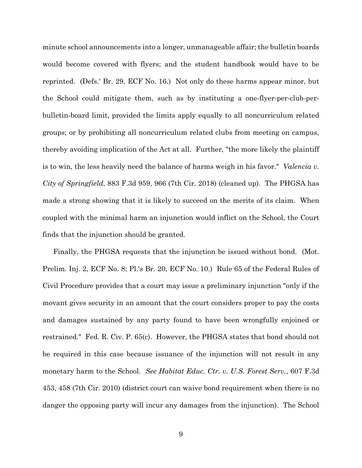minute school announcements into a longer, unmanageable affair; the bulletin boards would become covered with flyers; and the student handbook would have to be reprinted. (Defs.' Br. 29, ECF No. 16.) Not only do these harms appear minor, but the School could mitigate them, such as by instituting a one-flyer-per-club-perbulletin-board limit, provided the limits apply equally to all noncurriculum related groups; or by prohibiting all noncurriculum related clubs from meeting on campus, thereby avoiding implication of the Act at all. Further, "the more likely the plaintiff is to win, the less heavily need the balance of harms weigh in his favor." *Valencia v. City of Springfield*, 883 F.3d 959, 966 (7th Cir. 2018) (cleaned up). The PHGSA has made a strong showing that it is likely to succeed on the merits of its claim. When coupled with the minimal harm an injunction would inflict on the School, the Court finds that the injunction should be granted.

Finally, the PHGSA requests that the injunction be issued without bond. (Mot. Prelim. Inj. 2, ECF No. 8; Pl.'s Br. 20, ECF No. 10.) Rule 65 of the Federal Rules of Civil Procedure provides that a court may issue a preliminary injunction "only if the movant gives security in an amount that the court considers proper to pay the costs and damages sustained by any party found to have been wrongfully enjoined or restrained." Fed. R. Civ. P. 65(c). However, the PHGSA states that bond should not be required in this case because issuance of the injunction will not result in any monetary harm to the School. *See Habitat Educ. Ctr. v. U.S. Forest Serv.*, 607 F.3d 453, 458 (7th Cir. 2010) (district court can waive bond requirement when there is no danger the opposing party will incur any damages from the injunction). The School